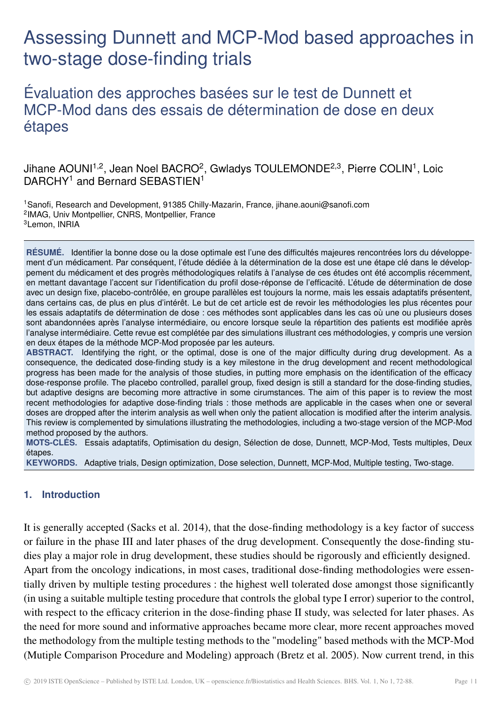# Assessing Dunnett and MCP-Mod based approaches in two-stage dose-finding trials

Évaluation des approches basées sur le test de Dunnett et MCP-Mod dans des essais de détermination de dose en deux étapes

# Jihane AOUNI $^{1,2}$ , Jean Noel BACRO<sup>2</sup>, Gwladys TOULEMONDE $^{2,3}$ , Pierre COLIN $^{1}$ , Loic DARCHY<sup>1</sup> and Bernard SEBASTIEN<sup>1</sup>

<sup>1</sup>Sanofi, Research and Development, 91385 Chilly-Mazarin, France, jihane.aouni@sanofi.com 2 IMAG, Univ Montpellier, CNRS, Montpellier, France <sup>3</sup>Lemon, INRIA

**RÉSUMÉ.** Identifier la bonne dose ou la dose optimale est l'une des difficultés majeures rencontrées lors du développement d'un médicament. Par conséquent, l'étude dédiée à la détermination de la dose est une étape clé dans le développement du médicament et des progrès méthodologiques relatifs à l'analyse de ces études ont été accomplis récemment, en mettant davantage l'accent sur l'identification du profil dose-réponse de l'efficacité. L'étude de détermination de dose avec un design fixe, placebo-contrôlée, en groupe parallèles est toujours la norme, mais les essais adaptatifs présentent, dans certains cas, de plus en plus d'intérêt. Le but de cet article est de revoir les méthodologies les plus récentes pour les essais adaptatifs de détermination de dose : ces méthodes sont applicables dans les cas où une ou plusieurs doses sont abandonnées après l'analyse intermédiaire, ou encore lorsque seule la répartition des patients est modifiée après l'analyse intermédiaire. Cette revue est complétée par des simulations illustrant ces méthodologies, y compris une version en deux étapes de la méthode MCP-Mod proposée par les auteurs.

**ABSTRACT.** Identifying the right, or the optimal, dose is one of the major difficulty during drug development. As a consequence, the dedicated dose-finding study is a key milestone in the drug development and recent methodological progress has been made for the analysis of those studies, in putting more emphasis on the identification of the efficacy dose-response profile. The placebo controlled, parallel group, fixed design is still a standard for the dose-finding studies, but adaptive designs are becoming more attractive in some cirumstances. The aim of this paper is to review the most recent methodologies for adaptive dose-finding trials : those methods are applicable in the cases when one or several doses are dropped after the interim analysis as well when only the patient allocation is modified after the interim analysis. This review is complemented by simulations illustrating the methodologies, including a two-stage version of the MCP-Mod method proposed by the authors.

**MOTS-CLÉS.** Essais adaptatifs, Optimisation du design, Sélection de dose, Dunnett, MCP-Mod, Tests multiples, Deux étapes.

**KEYWORDS.** Adaptive trials, Design optimization, Dose selection, Dunnett, MCP-Mod, Multiple testing, Two-stage.

# **1. Introduction**

It is generally accepted (Sacks et al. 2014), that the dose-finding methodology is a key factor of success or failure in the phase III and later phases of the drug development. Consequently the dose-finding studies play a major role in drug development, these studies should be rigorously and efficiently designed. Apart from the oncology indications, in most cases, traditional dose-finding methodologies were essentially driven by multiple testing procedures : the highest well tolerated dose amongst those significantly (in using a suitable multiple testing procedure that controls the global type I error) superior to the control, with respect to the efficacy criterion in the dose-finding phase II study, was selected for later phases. As the need for more sound and informative approaches became more clear, more recent approaches moved the methodology from the multiple testing methods to the "modeling" based methods with the MCP-Mod (Mutiple Comparison Procedure and Modeling) approach (Bretz et al. 2005). Now current trend, in this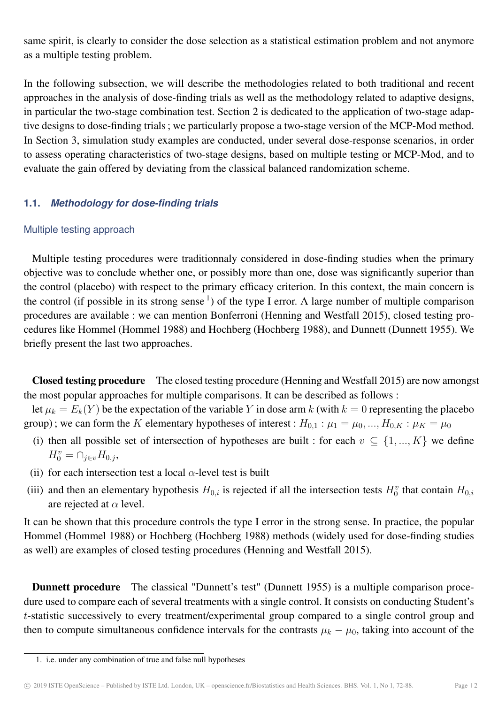same spirit, is clearly to consider the dose selection as a statistical estimation problem and not anymore as a multiple testing problem.

In the following subsection, we will describe the methodologies related to both traditional and recent approaches in the analysis of dose-finding trials as well as the methodology related to adaptive designs, in particular the two-stage combination test. Section 2 is dedicated to the application of two-stage adaptive designs to dose-finding trials ; we particularly propose a two-stage version of the MCP-Mod method. In Section 3, simulation study examples are conducted, under several dose-response scenarios, in order to assess operating characteristics of two-stage designs, based on multiple testing or MCP-Mod, and to evaluate the gain offered by deviating from the classical balanced randomization scheme.

# **1.1.** *Methodology for dose-finding trials*

# Multiple testing approach

Multiple testing procedures were traditionnaly considered in dose-finding studies when the primary objective was to conclude whether one, or possibly more than one, dose was significantly superior than the control (placebo) with respect to the primary efficacy criterion. In this context, the main concern is the control (if possible in its strong sense  $\frac{1}{1}$ ) of the type I error. A large number of multiple comparison procedures are available : we can mention Bonferroni (Henning and Westfall 2015), closed testing procedures like Hommel (Hommel 1988) and Hochberg (Hochberg 1988), and Dunnett (Dunnett 1955). We briefly present the last two approaches.

Closed testing procedure The closed testing procedure (Henning and Westfall 2015) are now amongst the most popular approaches for multiple comparisons. It can be described as follows :

let  $\mu_k = E_k(Y)$  be the expectation of the variable Y in dose arm k (with  $k = 0$  representing the placebo group); we can form the K elementary hypotheses of interest :  $H_{0,1}$  :  $\mu_1 = \mu_0, ..., H_{0,K}$  :  $\mu_K = \mu_0$ 

- (i) then all possible set of intersection of hypotheses are built : for each  $v \subseteq \{1, ..., K\}$  we define  $H_0^v = \bigcap_{j \in v} H_{0,j},$
- (ii) for each intersection test a local  $\alpha$ -level test is built
- (iii) and then an elementary hypothesis  $H_{0,i}$  is rejected if all the intersection tests  $H_0^v$  that contain  $H_{0,i}$ are rejected at  $\alpha$  level.

It can be shown that this procedure controls the type I error in the strong sense. In practice, the popular Hommel (Hommel 1988) or Hochberg (Hochberg 1988) methods (widely used for dose-finding studies as well) are examples of closed testing procedures (Henning and Westfall 2015).

Dunnett procedure The classical "Dunnett's test" (Dunnett 1955) is a multiple comparison procedure used to compare each of several treatments with a single control. It consists on conducting Student's t-statistic successively to every treatment/experimental group compared to a single control group and then to compute simultaneous confidence intervals for the contrasts  $\mu_k - \mu_0$ , taking into account of the

<sup>1.</sup> i.e. under any combination of true and false null hypotheses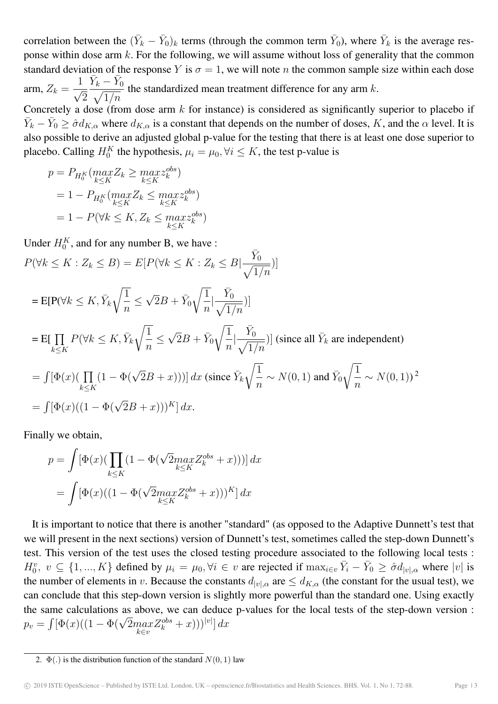correlation between the  $(\bar{Y}_k - \bar{Y}_0)_k$  terms (through the common term  $\bar{Y}_0$ ), where  $\bar{Y}_k$  is the average response within dose arm k. For the following, we will assume without loss of generality that the common standard deviation of the response Y is  $\sigma = 1$ , we will note n the common sample size within each dose arm,  $Z_k =$ 1  $\frac{1}{\sqrt{2}}$ 2  $\bar{Y}_k - \bar{Y}_k$  $\sqrt{}$  $\boldsymbol{0}$  $1/n$ the standardized mean treatment difference for any arm  $k$ . Concretely a dose (from dose arm  $k$  for instance) is considered as significantly superior to placebo if  $\bar{Y}_k - \bar{Y}_0 \ge \hat{\sigma} d_{K,\alpha}$  where  $d_{K,\alpha}$  is a constant that depends on the number of doses, K, and the  $\alpha$  level. It is also possible to derive an adjusted global p-value for the testing that there is at least one dose superior to placebo. Calling  $H_0^K$  the hypothesis,  $\mu_i = \mu_0, \forall i \leq K$ , the test p-value is

$$
p = P_{H_0^K}(\max_{k \le K} Z_k \ge \max_{k \le K} z_k^{obs})
$$
  
= 1 - P\_{H\_0^K}(\max\_{k \le K} Z\_k \le \max\_{k \le K} z\_k^{obs})  
= 1 - P(\forall k \le K, Z\_k \le \max\_{k \le K} z\_k^{obs})

Under  $H_0^K$ , and for any number B, we have :

 $P(\forall k \leq K : Z_k \leq B) = E[P(\forall k \leq K : Z_k \leq B)]$  $\bar{Y}$  $\sqrt{}$  $\boldsymbol{0}$  $1/n$ )]  $=$  E[P( $\forall k \leq K, \overline{Y}_k$  $\sqrt{1}$ n ≤  $\sqrt{2}B + \bar{Y}_0$  $\sqrt{1}$ n |  $\bar{Y}$  $\sqrt{ }$  $\mathbf{0}$  $1/n$  $\big)$  $=$  E[  $\prod$  $k\leq K$  $P(\forall k \leq K, \bar{Y}_k)$  $\sqrt{1}$ n ≤  $\sqrt{2}B + \bar{Y}_0$  $\sqrt{1}$  $\overline{n}$ |  $\bar{Y}$  $\sqrt{}$ 0  $1/n$ )] (since all  $\bar{Y}_k$  are independent)  $= \int [\Phi(x) (\prod$  $k\leq K$  $(1 - \Phi(\sqrt{2}B + x))) dx$  (since  $\bar{Y}_k$  $\sqrt{1}$  $\overline{n}$  $\sim N(0, 1)$  and  $\bar{Y}_0$  $\sqrt{1}$  $\overline{n}$  $\sim N(0,1)$ <sup>2</sup>  $= \int [\Phi(x) ((1 - \Phi(\sqrt{2}B + x)))^K] dx.$ 

Finally we obtain,

$$
p = \int [\Phi(x)(\prod_{k \leq K} (1 - \Phi(\sqrt{2}max_{k \leq K} Z_k^{obs} + x)))] dx
$$

$$
= \int [\Phi(x)((1 - \Phi(\sqrt{2}max_{k \leq K} Z_k^{obs} + x)))^{K}] dx
$$

It is important to notice that there is another "standard" (as opposed to the Adaptive Dunnett's test that we will present in the next sections) version of Dunnett's test, sometimes called the step-down Dunnett's test. This version of the test uses the closed testing procedure associated to the following local tests :  $H_0^v, v \subseteq \{1, ..., K\}$  defined by  $\mu_i = \mu_0, \forall i \in v$  are rejected if  $\max_{i \in v} \overline{Y}_i - \overline{Y}_0 \geq \partial d_{|v|, \alpha}$  where  $|v|$  is the number of elements in v. Because the constants  $d_{|v|,\alpha}$  are  $\leq d_{K,\alpha}$  (the constant for the usual test), we can conclude that this step-down version is slightly more powerful than the standard one. Using exactly the same calculations as above, we can deduce p-values for the local tests of the step-down version : the same calculations as above, we can deduce<br>  $p_v = \int [\Phi(x)((1 - \Phi(\sqrt{2}max_{k \in v} Z_k^{obs} + x)))^{|v|}] dx$ 

<sup>2.</sup>  $\Phi(.)$  is the distribution function of the standard  $N(0, 1)$  law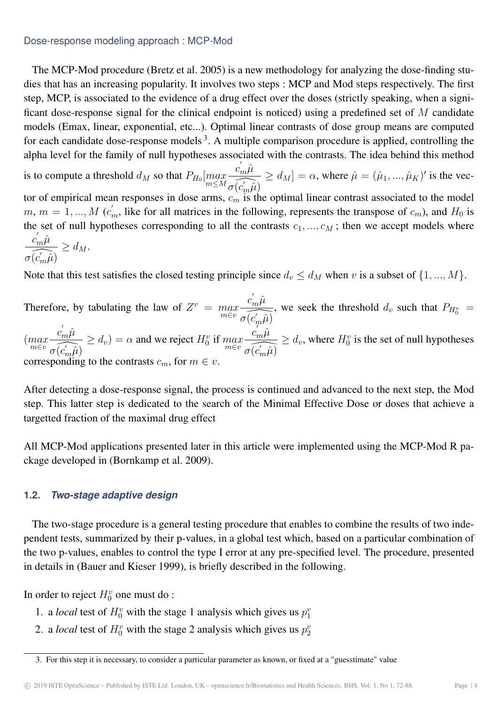#### Dose-response modeling approach : MCP-Mod

The MCP-Mod procedure (Bretz et al. 2005) is a new methodology for analyzing the dose-finding studies that has an increasing popularity. It involves two steps : MCP and Mod steps respectively. The first step, MCP, is associated to the evidence of a drug effect over the doses (strictly speaking, when a significant dose-response signal for the clinical endpoint is noticed) using a predefined set of M candidate models (Emax, linear, exponential, etc...). Optimal linear contrasts of dose group means are computed for each candidate dose-response models<sup>3</sup>. A multiple comparison procedure is applied, controlling the alpha level for the family of null hypotheses associated with the contrasts. The idea behind this method

is to compute a threshold  $d_M$  so that  $P_{H_0}[\max\limits_{m\le M}$  $c^{'}_m \hat{\mu}$  $\widehat{\sigma(\vec{c_m}\hat{\mu})}$  $\geq d_M$ ] =  $\alpha$ , where  $\hat{\mu} = (\hat{\mu}_1, ..., \hat{\mu}_K)'$  is the vector of empirical mean responses in dose arms,  $c_m$  is the optimal linear contrast associated to the model  $m, m = 1, ..., M$  ( $c'_m$ , like for all matrices in the following, represents the transpose of  $c_m$ ), and  $H_0$  is the set of null hypotheses corresponding to all the contrasts  $c_1, ..., c_M$ ; then we accept models where  $c^{'}_m \hat{\mu}$  $\geq d_M.$ 

$$
\frac{m}{\sigma(\widehat{c}'_m\widehat{\mu})} \ge d_M.
$$

Note that this test satisfies the closed testing principle since  $d_v \le d_M$  when v is a subset of  $\{1, ..., M\}$ .

Therefore, by tabulating the law of  $Z^v = \max_{m \in v}$  $c^{'}_m \hat{\mu}$  $\widehat{\sigma(c'_{m}\hat{\mu})}$ , we seek the threshold  $d_v$  such that  $P_{H_0^v}$  =  $\binom{max}{m \in v}$  $c^{'}_m \hat{\mu}$  $\widehat{\sigma(\hat{c'_{m}\hat{\mu}})}$  $\geq d_v$ ) =  $\alpha$  and we reject  $H_0^v$  if  $\max_{m \in v}$  $c^{'}_m \hat{\mu}$  $\widehat{\sigma(c_m'\hat{\mu})}$  $\geq d_v$ , where  $H_0^v$  is the set of null hypotheses corresponding to the contrasts  $c_m$ , for  $m \in v$ .

After detecting a dose-response signal, the process is continued and advanced to the next step, the Mod step. This latter step is dedicated to the search of the Minimal Effective Dose or doses that achieve a targetted fraction of the maximal drug effect

All MCP-Mod applications presented later in this article were implemented using the MCP-Mod R package developed in (Bornkamp et al. 2009).

# **1.2.** *Two-stage adaptive design*

The two-stage procedure is a general testing procedure that enables to combine the results of two independent tests, summarized by their p-values, in a global test which, based on a particular combination of the two p-values, enables to control the type I error at any pre-specified level. The procedure, presented in details in (Bauer and Kieser 1999), is briefly described in the following.

In order to reject  $H_0^v$  one must do :

- 1. a *local* test of  $H_0^v$  with the stage 1 analysis which gives us  $p_1^v$
- 2. a *local* test of  $H_0^v$  with the stage 2 analysis which gives us  $p_2^v$

<sup>3.</sup> For this step it is necessary, to consider a particular parameter as known, or fixed at a "guesstimate" value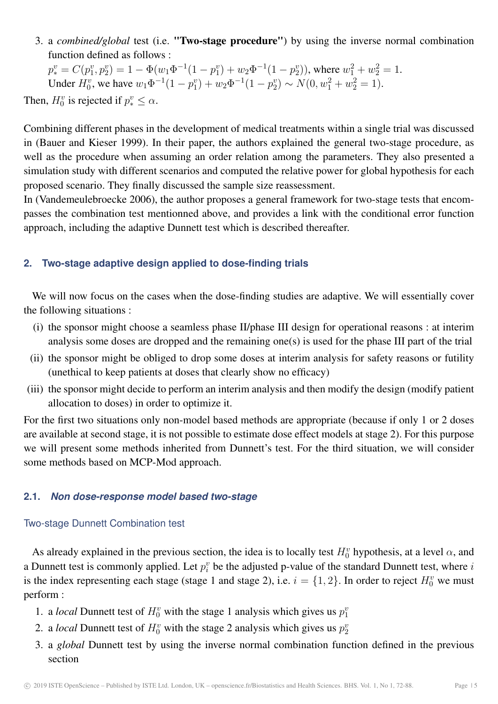3. a *combined/global* test (i.e. "Two-stage procedure") by using the inverse normal combination function defined as follows :

 $p_*^v = C(p_1^v, p_2^v) = 1 - \Phi(w_1\Phi^{-1}(1-p_1^v) + w_2\Phi^{-1}(1-p_2^v))$ , where  $w_1^2 + w_2^2 = 1$ . Under  $H_0^v$ , we have  $w_1\Phi^{-1}(1-p_1^v)+w_2\Phi^{-1}(1-p_2^v) \sim N(0, w_1^2+w_2^2=1)$ . Then,  $H_0^v$  is rejected if  $p_*^v \leq \alpha$ .

Combining different phases in the development of medical treatments within a single trial was discussed in (Bauer and Kieser 1999). In their paper, the authors explained the general two-stage procedure, as well as the procedure when assuming an order relation among the parameters. They also presented a simulation study with different scenarios and computed the relative power for global hypothesis for each proposed scenario. They finally discussed the sample size reassessment.

In (Vandemeulebroecke 2006), the author proposes a general framework for two-stage tests that encompasses the combination test mentionned above, and provides a link with the conditional error function approach, including the adaptive Dunnett test which is described thereafter.

# **2. Two-stage adaptive design applied to dose-finding trials**

We will now focus on the cases when the dose-finding studies are adaptive. We will essentially cover the following situations :

- (i) the sponsor might choose a seamless phase II/phase III design for operational reasons : at interim analysis some doses are dropped and the remaining one(s) is used for the phase III part of the trial
- (ii) the sponsor might be obliged to drop some doses at interim analysis for safety reasons or futility (unethical to keep patients at doses that clearly show no efficacy)
- (iii) the sponsor might decide to perform an interim analysis and then modify the design (modify patient allocation to doses) in order to optimize it.

For the first two situations only non-model based methods are appropriate (because if only 1 or 2 doses are available at second stage, it is not possible to estimate dose effect models at stage 2). For this purpose we will present some methods inherited from Dunnett's test. For the third situation, we will consider some methods based on MCP-Mod approach.

#### **2.1.** *Non dose-response model based two-stage*

#### Two-stage Dunnett Combination test

As already explained in the previous section, the idea is to locally test  $H_0^v$  hypothesis, at a level  $\alpha$ , and a Dunnett test is commonly applied. Let  $p_i^v$  $i$  be the adjusted p-value of the standard Dunnett test, where  $i$ is the index representing each stage (stage 1 and stage 2), i.e.  $i = \{1, 2\}$ . In order to reject  $H_0^v$  we must perform :

- 1. a *local* Dunnett test of  $H_0^v$  with the stage 1 analysis which gives us  $p_1^v$
- 2. a *local* Dunnett test of  $H_0^v$  with the stage 2 analysis which gives us  $p_2^v$
- 3. a *global* Dunnett test by using the inverse normal combination function defined in the previous section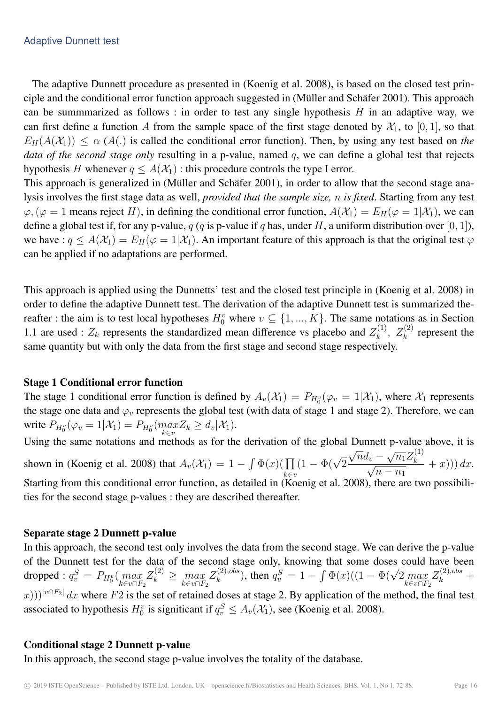The adaptive Dunnett procedure as presented in (Koenig et al. 2008), is based on the closed test principle and the conditional error function approach suggested in (Müller and Schäfer 2001). This approach can be summmarized as follows : in order to test any single hypothesis  $H$  in an adaptive way, we can first define a function A from the sample space of the first stage denoted by  $\mathcal{X}_1$ , to [0, 1], so that  $E_H(A(\mathcal{X}_1)) \leq \alpha(A)$  is called the conditional error function). Then, by using any test based on *the data of the second stage only* resulting in a p-value, named q, we can define a global test that rejects hypothesis H whenever  $q \leq A(\mathcal{X}_1)$ : this procedure controls the type I error.

This approach is generalized in (Müller and Schäfer 2001), in order to allow that the second stage analysis involves the first stage data as well, *provided that the sample size,* n *is fixed*. Starting from any test  $\varphi, (\varphi = 1$  means reject H), in defining the conditional error function,  $A(\mathcal{X}_1) = E_H(\varphi = 1|\mathcal{X}_1)$ , we can define a global test if, for any p-value, q (q is p-value if q has, under H, a uniform distribution over [0, 1]), we have :  $q \leq A(\mathcal{X}_1) = E_H(\varphi = 1|\mathcal{X}_1)$ . An important feature of this approach is that the original test  $\varphi$ can be applied if no adaptations are performed.

This approach is applied using the Dunnetts' test and the closed test principle in (Koenig et al. 2008) in order to define the adaptive Dunnett test. The derivation of the adaptive Dunnett test is summarized thereafter : the aim is to test local hypotheses  $H_0^v$  where  $v \subseteq \{1, ..., K\}$ . The same notations as in Section 1.1 are used :  $Z_k$  represents the standardized mean difference vs placebo and  $Z_k^{(1)}$  $z_k^{(1)}$ ,  $Z_k^{(2)}$  represent the same quantity but with only the data from the first stage and second stage respectively.

# Stage 1 Conditional error function

The stage 1 conditional error function is defined by  $A_v(\mathcal{X}_1) = P_{H_0^v}(\varphi_v = 1|\mathcal{X}_1)$ , where  $\mathcal{X}_1$  represents the stage one data and  $\varphi_v$  represents the global test (with data of stage 1 and stage 2). Therefore, we can write  $P_{H_0^v}(\varphi_v = 1 | \mathcal{X}_1) = P_{H_0^v}(\max_{k \in \mathcal{X}} Z_k \ge d_v | \mathcal{X}_1).$ k∈v

Using the same notations and methods as for the derivation of the global Dunnett p-value above, it is shown in (Koenig et al. 2008) that  $A_v(\mathcal{X}_1) = 1 - \int \Phi(x) (\prod$ k∈v  $(1 - \Phi(\sqrt{2}))$ √  $\overline{n}d_v$   $\mathbf{r}$  $\overline{n_1}Z_k^{(1)}$  $\frac{u_v - \sqrt{n_1} \omega_k}{\sqrt{n_1} \omega_k}$  $\overline{n-n_1}$  $+ x))dx.$ Starting from this conditional error function, as detailed in  $(Koenig et al. 2008)$ , there are two possibilities for the second stage p-values : they are described thereafter.

# Separate stage 2 Dunnett p-value

In this approach, the second test only involves the data from the second stage. We can derive the p-value of the Dunnett test for the data of the second stage only, knowing that some doses could have been dropped :  $q_v^S = P_{H_0^v}(\max_{k \in \omega \cap E}$  $k \in v \cap F_2$  $Z_k^{(2)} \geq \max_{k \in v \cap F_2}$  $Z_k^{(2),obs}$  $k_{k}^{(2),obs}$ ), then  $q_v^S = 1 - \int \Phi(x) ((1 - \Phi(\sqrt{2} m a x))$  $k \in v \cap F_2$  $Z_k^{(2),obs}$  +  $(x)$ )) $|v \cap F_2|$  dx where F2 is the set of retained doses at stage 2. By application of the method, the final test associated to hypothesis  $H_0^v$  is signiticant if  $q_v^S \leq A_v(\mathcal{X}_1)$ , see (Koenig et al. 2008).

# Conditional stage 2 Dunnett p-value

In this approach, the second stage p-value involves the totality of the database.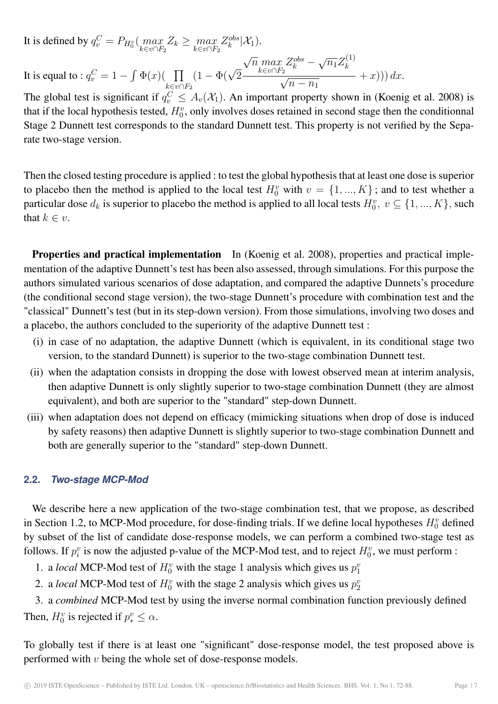It is defined by  $q_v^C = P_{H_0^v} \left( \max_{k \in \mathcal{N} \setminus E} \right)$  $\max_{k \in v \cap F_2} Z_k \geq \max_{k \in v \cap F_2}$  $Z_k^{obs}$  $_{k}^{obs}[\mathcal{X}_{1}).$ It is equal to :  $q_v^C = 1 - \int \Phi(x) (-\prod$  $k \in v \cap F_2$  $(1 - \Phi(\sqrt{2}))$ √  $\overline{n}$  max  $k \in v \cap F_2$  $Z_k^{obs}$  – √  $\overline{n_1}Z_k^{(1)}$ k  $\frac{1}{\sqrt{2}}$  $\overline{n-n_1}$  $+ x)) dx.$ 

The global test is significant if  $q_v^C \leq A_v(\mathcal{X}_1)$ . An important property shown in (Koenig et al. 2008) is that if the local hypothesis tested,  $H_0^v$ , only involves doses retained in second stage then the conditionnal Stage 2 Dunnett test corresponds to the standard Dunnett test. This property is not verified by the Separate two-stage version.

Then the closed testing procedure is applied : to test the global hypothesis that at least one dose is superior to placebo then the method is applied to the local test  $H_0^v$  with  $v = \{1, ..., K\}$ ; and to test whether a particular dose  $d_k$  is superior to placebo the method is applied to all local tests  $H_0^v$ ,  $v \subseteq \{1, ..., K\}$ , such that  $k \in v$ .

Properties and practical implementation In (Koenig et al. 2008), properties and practical implementation of the adaptive Dunnett's test has been also assessed, through simulations. For this purpose the authors simulated various scenarios of dose adaptation, and compared the adaptive Dunnets's procedure (the conditional second stage version), the two-stage Dunnett's procedure with combination test and the "classical" Dunnett's test (but in its step-down version). From those simulations, involving two doses and a placebo, the authors concluded to the superiority of the adaptive Dunnett test :

- (i) in case of no adaptation, the adaptive Dunnett (which is equivalent, in its conditional stage two version, to the standard Dunnett) is superior to the two-stage combination Dunnett test.
- (ii) when the adaptation consists in dropping the dose with lowest observed mean at interim analysis, then adaptive Dunnett is only slightly superior to two-stage combination Dunnett (they are almost equivalent), and both are superior to the "standard" step-down Dunnett.
- (iii) when adaptation does not depend on efficacy (mimicking situations when drop of dose is induced by safety reasons) then adaptive Dunnett is slightly superior to two-stage combination Dunnett and both are generally superior to the "standard" step-down Dunnett.

#### **2.2.** *Two-stage MCP-Mod*

We describe here a new application of the two-stage combination test, that we propose, as described in Section 1.2, to MCP-Mod procedure, for dose-finding trials. If we define local hypotheses  $H_0^v$  defined by subset of the list of candidate dose-response models, we can perform a combined two-stage test as follows. If  $p_i^v$  $\frac{v}{i}$  is now the adjusted p-value of the MCP-Mod test, and to reject  $H_0^v$ , we must perform :

- 1. a *local* MCP-Mod test of  $H_0^v$  with the stage 1 analysis which gives us  $p_1^v$
- 2. a *local* MCP-Mod test of  $H_0^v$  with the stage 2 analysis which gives us  $p_2^v$

3. a *combined* MCP-Mod test by using the inverse normal combination function previously defined Then,  $H_0^v$  is rejected if  $p_*^v \leq \alpha$ .

To globally test if there is at least one "significant" dose-response model, the test proposed above is performed with v being the whole set of dose-response models.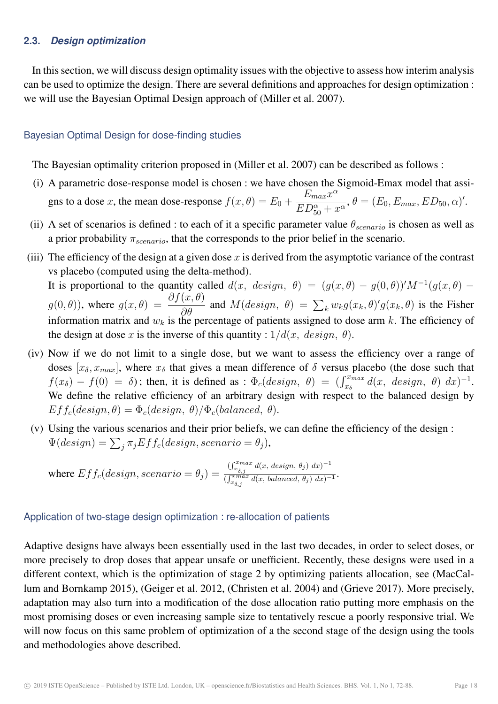#### **2.3.** *Design optimization*

In this section, we will discuss design optimality issues with the objective to assess how interim analysis can be used to optimize the design. There are several definitions and approaches for design optimization : we will use the Bayesian Optimal Design approach of (Miller et al. 2007).

#### Bayesian Optimal Design for dose-finding studies

The Bayesian optimality criterion proposed in (Miller et al. 2007) can be described as follows :

- (i) A parametric dose-response model is chosen : we have chosen the Sigmoid-Emax model that assigns to a dose x, the mean dose-response  $f(x, \theta) = E_0 +$  $E_{max}x^{\alpha}$  $\frac{E_{max}x}{ED_{50}^{\alpha}+x^{\alpha}}, \theta = (E_0, E_{max}, ED_{50}, \alpha)'.$
- (ii) A set of scenarios is defined : to each of it a specific parameter value  $\theta_{scenario}$  is chosen as well as a prior probability  $\pi_{scenario}$ , that the corresponds to the prior belief in the scenario.
- (iii) The efficiency of the design at a given dose  $x$  is derived from the asymptotic variance of the contrast vs placebo (computed using the delta-method).

It is proportional to the quantity called  $d(x, design, \theta) = (g(x, \theta) - g(0, \theta))'M^{-1}(g(x, \theta) - g(0, \theta))'M^{-1}(g(x, \theta))$  $g(0, \theta)$ ), where  $g(x, \theta) = \frac{\partial f(x, \theta)}{\partial \theta}$  $\frac{\partial}{\partial \theta}$  and  $M(design, \theta) = \sum_{k} w_{k} g(x_{k}, \theta)' g(x_{k}, \theta)$  is the Fisher information matrix and  $w_k$  is the percentage of patients assigned to dose arm k. The efficiency of the design at dose x is the inverse of this quantity :  $1/d(x, \text{ design}, \theta)$ .

- (iv) Now if we do not limit to a single dose, but we want to assess the efficiency over a range of doses  $[x_{\delta}, x_{max}]$ , where  $x_{\delta}$  that gives a mean difference of  $\delta$  versus placebo (the dose such that  $f(x_\delta) - f(0) = \delta$ ; then, it is defined as :  $\Phi_c(design, \theta) = (\int_{x_\delta}^{x_{max}} d(x, design, \theta) dx)^{-1}$ . We define the relative efficiency of an arbitrary design with respect to the balanced design by  $Ef f_c (design, \theta) = \Phi_c (design, \theta) / \Phi_c (balanced, \theta).$
- (v) Using the various scenarios and their prior beliefs, we can define the efficiency of the design :  $\Psi(deg) = \sum_j \pi_j E f f_c (design, scenario = \theta_j),$

where 
$$
Eff_c (design, scenario = \theta_j) = \frac{\int_{x_{\delta,j}}^{x_{max}} d(x, design, \theta_j) dx^{-1}}{\int_{x_{\delta,j}}^{x_{max}} d(x, balanced, \theta_j) dx^{-1}}
$$
.

#### Application of two-stage design optimization : re-allocation of patients

Adaptive designs have always been essentially used in the last two decades, in order to select doses, or more precisely to drop doses that appear unsafe or unefficient. Recently, these designs were used in a different context, which is the optimization of stage 2 by optimizing patients allocation, see (MacCallum and Bornkamp 2015), (Geiger et al. 2012, (Christen et al. 2004) and (Grieve 2017). More precisely, adaptation may also turn into a modification of the dose allocation ratio putting more emphasis on the most promising doses or even increasing sample size to tentatively rescue a poorly responsive trial. We will now focus on this same problem of optimization of a the second stage of the design using the tools and methodologies above described.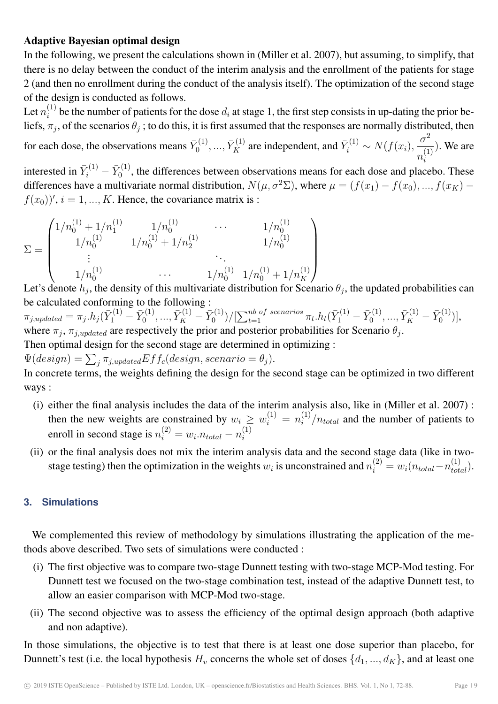# Adaptive Bayesian optimal design

In the following, we present the calculations shown in (Miller et al. 2007), but assuming, to simplify, that there is no delay between the conduct of the interim analysis and the enrollment of the patients for stage 2 (and then no enrollment during the conduct of the analysis itself). The optimization of the second stage of the design is conducted as follows.

Let  $n_i^{(1)}$  $i<sup>(1)</sup>$  be the number of patients for the dose  $d_i$  at stage 1, the first step consists in up-dating the prior beliefs,  $\pi_j$ , of the scenarios  $\theta_j$ ; to do this, it is first assumed that the responses are normally distributed, then

for each dose, the observations means  $\bar{Y}^{(1)}_0$  $\tilde{Y}_0^{(1)}, ..., \tilde{Y}_K^{(1)}$  are independent, and  $\tilde{Y}_i^{(1)} \sim N(f(x_i)),$  $\sigma^2$  $\frac{0}{n_i^{(1)}}$ ). We are i

interested in  $\bar{Y}_i^{(1)} - \bar{Y}_0^{(1)}$  $\sigma_0^{(1)}$ , the differences between observations means for each dose and placebo. These differences have a multivariate normal distribution,  $N(\mu, \sigma^2 \Sigma)$ , where  $\mu = (f(x_1) - f(x_0), ..., f(x_K)$  $f(x_0)$ ',  $i = 1, ..., K$ . Hence, the covariance matrix is :

$$
\Sigma = \begin{pmatrix}\n1/n_0^{(1)} + 1/n_1^{(1)} & 1/n_0^{(1)} & \cdots & 1/n_0^{(1)} \\
1/n_0^{(1)} & 1/n_0^{(1)} + 1/n_2^{(1)} & 1/n_0^{(1)} \\
\vdots & \ddots & \vdots \\
1/n_0^{(1)} & \cdots & 1/n_0^{(1)} + 1/n_K^{(1)}\n\end{pmatrix}
$$

Let's denote  $h_j$ , the density of this multivariate distribution for Scenario  $\theta_j$ , the updated probabilities can be calculated conforming to the following :

 $\pi_{j,updated} = \pi_j.h_j(\bar{Y}_1^{(1)} - \bar{Y}_0^{(1)}$  $\bar{Y}^{(1)}_0, ..., \bar{Y}^{(1)}_K - \bar{Y}^{(1)}_0$  $\bar{\gamma}_0^{(1)})/[\sum_{t=1}^{nb\; of\; scenarios}\pi_t.h_t(\bar{Y}_1^{(1)}-\bar{Y}_0^{(1)})]$  $\bar{Y}^{(1)}_0,...,\bar{Y}^{(1)}_K-\bar{Y}^{(1)}_0$  $_{0}^{\prime(1)}$ )], where  $\pi_j$ ,  $\pi_{j,updated}$  are respectively the prior and posterior probabilities for Scenario  $\theta_j$ .

Then optimal design for the second stage are determined in optimizing :

 $\Psi(deg) = \sum_j \pi_{j,updated} Eff_c (design, scenario = \theta_j).$ 

In concrete terms, the weights defining the design for the second stage can be optimized in two different ways :

- (i) either the final analysis includes the data of the interim analysis also, like in (Miller et al. 2007) : then the new weights are constrained by  $w_i \geq w_i^{(1)} = n_i^{(1)}$  $i^{(1)}/n_{total}$  and the number of patients to enroll in second stage is  $n_i^{(2)} = w_i n_{total} - n_i^{(1)}$ i
- (ii) or the final analysis does not mix the interim analysis data and the second stage data (like in twostage testing) then the optimization in the weights  $w_i$  is unconstrained and  $n_i^{(2)} = w_i(n_{total} - n_{total}^{(1)})$ .

# **3. Simulations**

We complemented this review of methodology by simulations illustrating the application of the methods above described. Two sets of simulations were conducted :

- (i) The first objective was to compare two-stage Dunnett testing with two-stage MCP-Mod testing. For Dunnett test we focused on the two-stage combination test, instead of the adaptive Dunnett test, to allow an easier comparison with MCP-Mod two-stage.
- (ii) The second objective was to assess the efficiency of the optimal design approach (both adaptive and non adaptive).

In those simulations, the objective is to test that there is at least one dose superior than placebo, for Dunnett's test (i.e. the local hypothesis  $H_v$  concerns the whole set of doses  $\{d_1, ..., d_K\}$ , and at least one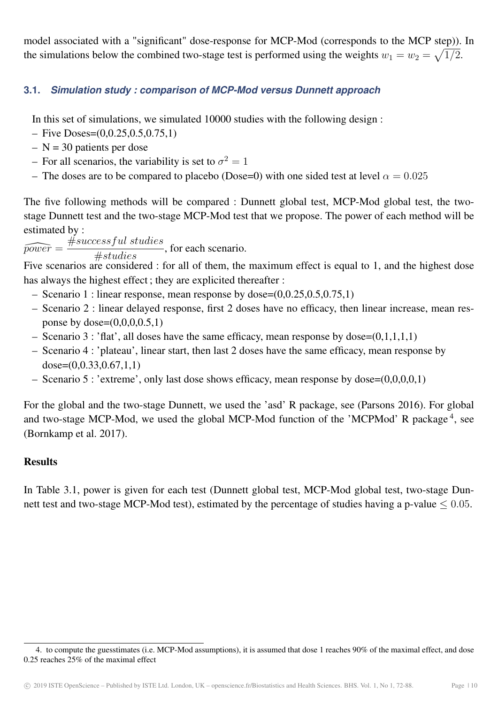model associated with a "significant" dose-response for MCP-Mod (corresponds to the MCP step)). In the simulations below the combined two-stage test is performed using the weights  $w_1 = w_2 = \sqrt{1/2}$ .

# **3.1.** *Simulation study : comparison of MCP-Mod versus Dunnett approach*

In this set of simulations, we simulated 10000 studies with the following design :

- $-$  Five Doses= $(0, 0.25, 0.5, 0.75, 1)$
- $N = 30$  patients per dose
- For all scenarios, the variability is set to  $\sigma^2 = 1$
- The doses are to be compared to placebo (Dose=0) with one sided test at level  $\alpha = 0.025$

The five following methods will be compared : Dunnett global test, MCP-Mod global test, the twostage Dunnett test and the two-stage MCP-Mod test that we propose. The power of each method will be estimated by :

 $\widehat{power} = \frac{\#successful\ studies}{\#times}$  $\frac{1}{\# studies}$ , for each scenario.

Five scenarios are considered : for all of them, the maximum effect is equal to 1, and the highest dose has always the highest effect ; they are explicited thereafter :

- Scenario 1 : linear response, mean response by dose= $(0,0.25,0.5,0.75,1)$
- Scenario 2 : linear delayed response, first 2 doses have no efficacy, then linear increase, mean response by dose= $(0,0,0,0.5,1)$
- Scenario 3 : 'flat', all doses have the same efficacy, mean response by dose= $(0,1,1,1,1)$
- Scenario 4 : 'plateau', linear start, then last 2 doses have the same efficacy, mean response by  $dose=(0.0.33,0.67,1,1)$
- Scenario 5 : 'extreme', only last dose shows efficacy, mean response by dose=(0,0,0,0,1)

For the global and the two-stage Dunnett, we used the 'asd' R package, see (Parsons 2016). For global and two-stage MCP-Mod, we used the global MCP-Mod function of the 'MCPMod' R package<sup>4</sup>, see (Bornkamp et al. 2017).

# **Results**

In Table 3.1, power is given for each test (Dunnett global test, MCP-Mod global test, two-stage Dunnett test and two-stage MCP-Mod test), estimated by the percentage of studies having a p-value  $\leq 0.05$ .

<sup>4.</sup> to compute the guesstimates (i.e. MCP-Mod assumptions), it is assumed that dose 1 reaches 90% of the maximal effect, and dose 0.25 reaches 25% of the maximal effect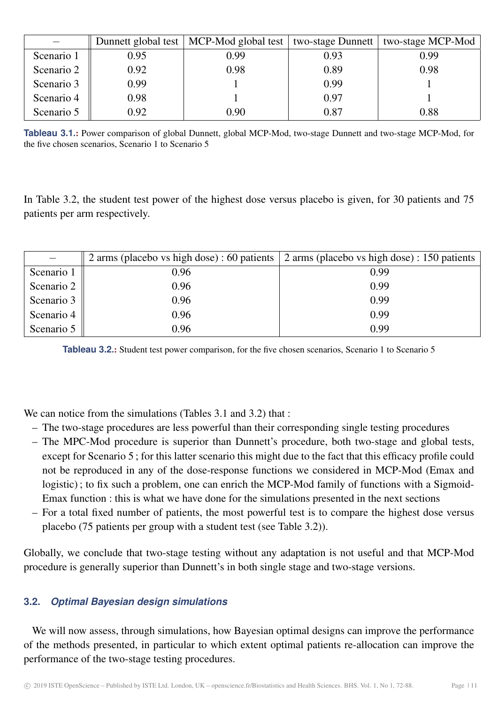|            |      | Dunnett global test   MCP-Mod global test |      | two-stage Dunnett   two-stage MCP-Mod |
|------------|------|-------------------------------------------|------|---------------------------------------|
| Scenario 1 | 0.95 | 0.99                                      | 0.93 | 0.99                                  |
| Scenario 2 | 0.92 | 0.98                                      | 0.89 | 0.98                                  |
| Scenario 3 | 0.99 |                                           | 0.99 |                                       |
| Scenario 4 | 0.98 |                                           | 0.97 |                                       |
| Scenario 5 | 0.92 | 0.90                                      | 0.87 | 0.88                                  |

**Tableau 3.1**.: Power comparison of global Dunnett, global MCP-Mod, two-stage Dunnett and two-stage MCP-Mod, for the five chosen scenarios, Scenario 1 to Scenario 5

In Table 3.2, the student test power of the highest dose versus placebo is given, for 30 patients and 75 patients per arm respectively.

|            |      | 2 arms (placebo vs high dose) : 60 patients   2 arms (placebo vs high dose) : 150 patients |  |
|------------|------|--------------------------------------------------------------------------------------------|--|
| Scenario 1 | 0.96 | 0.99                                                                                       |  |
| Scenario 2 | 0.96 | 0.99                                                                                       |  |
| Scenario 3 | 0.96 | 0.99                                                                                       |  |
| Scenario 4 | 0.96 | 0.99                                                                                       |  |
| Scenario 5 | 0.96 | 0.99                                                                                       |  |

**Tableau 3.2**.: Student test power comparison, for the five chosen scenarios, Scenario 1 to Scenario 5

We can notice from the simulations (Tables 3.1 and 3.2) that :

- The two-stage procedures are less powerful than their corresponding single testing procedures
- The MPC-Mod procedure is superior than Dunnett's procedure, both two-stage and global tests, except for Scenario 5 ; for this latter scenario this might due to the fact that this efficacy profile could not be reproduced in any of the dose-response functions we considered in MCP-Mod (Emax and logistic); to fix such a problem, one can enrich the MCP-Mod family of functions with a Sigmoid-Emax function : this is what we have done for the simulations presented in the next sections
- For a total fixed number of patients, the most powerful test is to compare the highest dose versus placebo (75 patients per group with a student test (see Table 3.2)).

Globally, we conclude that two-stage testing without any adaptation is not useful and that MCP-Mod procedure is generally superior than Dunnett's in both single stage and two-stage versions.

# **3.2.** *Optimal Bayesian design simulations*

We will now assess, through simulations, how Bayesian optimal designs can improve the performance of the methods presented, in particular to which extent optimal patients re-allocation can improve the performance of the two-stage testing procedures.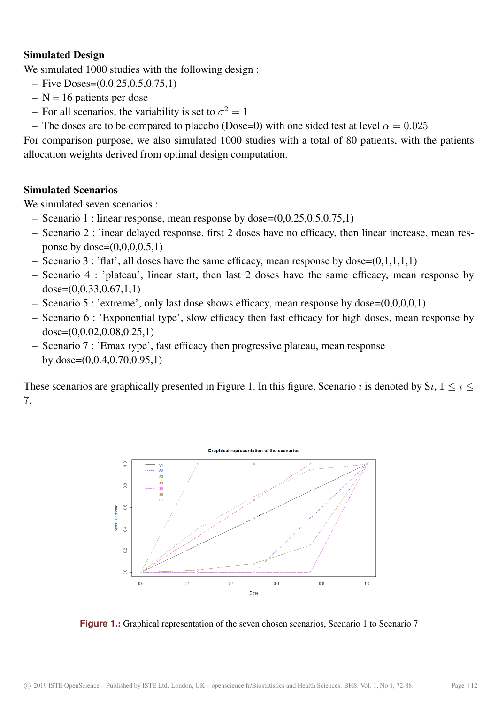# Simulated Design

We simulated 1000 studies with the following design :

- $-$  Five Doses= $(0, 0.25, 0.5, 0.75, 1)$
- $N = 16$  patients per dose
- For all scenarios, the variability is set to  $\sigma^2 = 1$
- The doses are to be compared to placebo (Dose=0) with one sided test at level  $\alpha = 0.025$

For comparison purpose, we also simulated 1000 studies with a total of 80 patients, with the patients allocation weights derived from optimal design computation.

# Simulated Scenarios

We simulated seven scenarios :

- Scenario 1 : linear response, mean response by dose= $(0,0.25,0.5,0.75,1)$
- Scenario 2 : linear delayed response, first 2 doses have no efficacy, then linear increase, mean response by dose= $(0,0,0,0.5,1)$
- Scenario 3 : 'flat', all doses have the same efficacy, mean response by dose= $(0,1,1,1,1)$
- Scenario 4 : 'plateau', linear start, then last 2 doses have the same efficacy, mean response by dose=(0,0.33,0.67,1,1)
- Scenario 5 : 'extreme', only last dose shows efficacy, mean response by dose=(0,0,0,0,1)
- Scenario 6 : 'Exponential type', slow efficacy then fast efficacy for high doses, mean response by dose=(0,0.02,0.08,0.25,1)
- Scenario 7 : 'Emax type', fast efficacy then progressive plateau, mean response by dose=(0,0.4,0.70,0.95,1)

These scenarios are graphically presented in Figure 1. In this figure, Scenario i is denoted by  $Si, 1 \le i \le$ 7.



**Figure 1**.: Graphical representation of the seven chosen scenarios, Scenario 1 to Scenario 7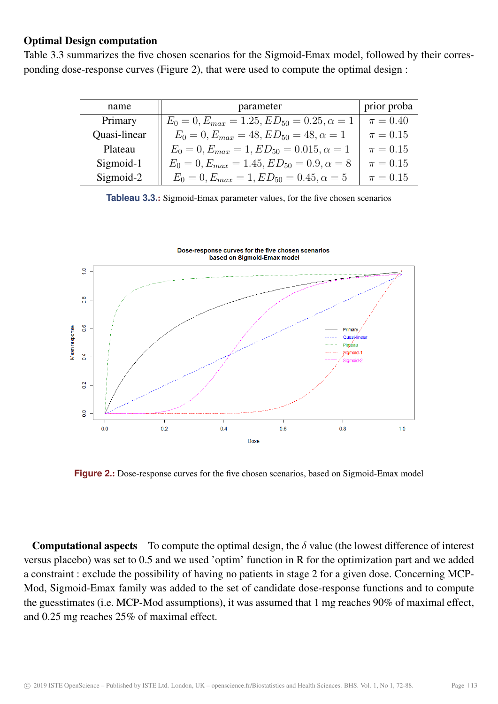# Optimal Design computation

Table 3.3 summarizes the five chosen scenarios for the Sigmoid-Emax model, followed by their corresponding dose-response curves (Figure 2), that were used to compute the optimal design :

| name         | parameter                                             | prior proba  |
|--------------|-------------------------------------------------------|--------------|
| Primary      | $E_0 = 0, E_{max} = 1.25, ED_{50} = 0.25, \alpha = 1$ | $\pi = 0.40$ |
| Quasi-linear | $E_0 = 0, E_{max} = 48, ED_{50} = 48, \alpha = 1$     | $\pi = 0.15$ |
| Plateau      | $E_0 = 0, E_{max} = 1, ED_{50} = 0.015, \alpha = 1$   | $\pi = 0.15$ |
| Sigmoid-1    | $E_0 = 0, E_{max} = 1.45, ED_{50} = 0.9, \alpha = 8$  | $\pi = 0.15$ |
| Sigmoid-2    | $E_0 = 0, E_{max} = 1, ED_{50} = 0.45, \alpha = 5$    | $\pi = 0.15$ |

**Tableau 3.3**.: Sigmoid-Emax parameter values, for the five chosen scenarios



**Figure 2**.: Dose-response curves for the five chosen scenarios, based on Sigmoid-Emax model

**Computational aspects** To compute the optimal design, the  $\delta$  value (the lowest difference of interest versus placebo) was set to 0.5 and we used 'optim' function in R for the optimization part and we added a constraint : exclude the possibility of having no patients in stage 2 for a given dose. Concerning MCP-Mod, Sigmoid-Emax family was added to the set of candidate dose-response functions and to compute the guesstimates (i.e. MCP-Mod assumptions), it was assumed that 1 mg reaches 90% of maximal effect, and 0.25 mg reaches 25% of maximal effect.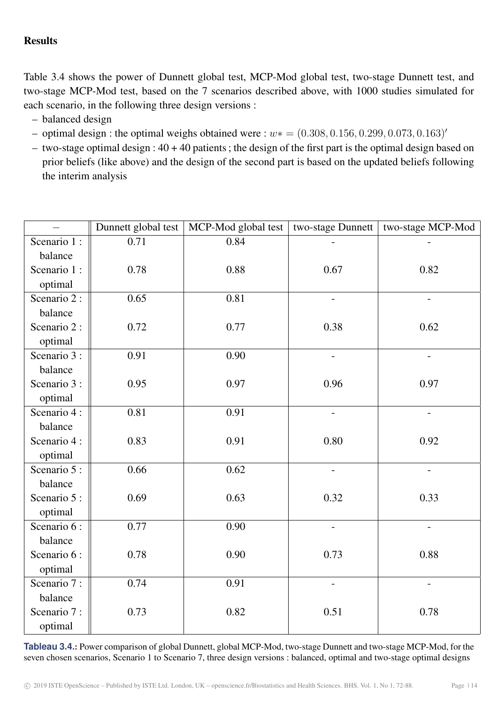# **Results**

Table 3.4 shows the power of Dunnett global test, MCP-Mod global test, two-stage Dunnett test, and two-stage MCP-Mod test, based on the 7 scenarios described above, with 1000 studies simulated for each scenario, in the following three design versions :

- balanced design
- optimal design : the optimal weighs obtained were :  $w* = (0.308, 0.156, 0.299, 0.073, 0.163)'$
- two-stage optimal design :  $40 + 40$  patients; the design of the first part is the optimal design based on prior beliefs (like above) and the design of the second part is based on the updated beliefs following the interim analysis

|              | Dunnett global test | MCP-Mod global test | two-stage Dunnett        | two-stage MCP-Mod        |
|--------------|---------------------|---------------------|--------------------------|--------------------------|
| Scenario 1 : | 0.71                | 0.84                |                          |                          |
| balance      |                     |                     |                          |                          |
| Scenario 1:  | 0.78                | 0.88                | 0.67                     | 0.82                     |
| optimal      |                     |                     |                          |                          |
| Scenario 2:  | 0.65                | 0.81                | $\overline{\phantom{0}}$ | $\overline{\phantom{a}}$ |
| balance      |                     |                     |                          |                          |
| Scenario 2:  | 0.72                | 0.77                | 0.38                     | 0.62                     |
| optimal      |                     |                     |                          |                          |
| Scenario 3 : | 0.91                | 0.90                | $\overline{\phantom{a}}$ | $\overline{\phantom{a}}$ |
| balance      |                     |                     |                          |                          |
| Scenario 3 : | 0.95                | 0.97                | 0.96                     | 0.97                     |
| optimal      |                     |                     |                          |                          |
| Scenario 4:  | 0.81                | 0.91                | $\overline{a}$           | $\overline{a}$           |
| balance      |                     |                     |                          |                          |
| Scenario 4:  | 0.83                | 0.91                | 0.80                     | 0.92                     |
| optimal      |                     |                     |                          |                          |
| Scenario 5 : | 0.66                | 0.62                |                          |                          |
| balance      |                     |                     |                          |                          |
| Scenario 5 : | 0.69                | 0.63                | 0.32                     | 0.33                     |
| optimal      |                     |                     |                          |                          |
| Scenario 6:  | 0.77                | 0.90                | $\blacksquare$           | $\blacksquare$           |
| balance      |                     |                     |                          |                          |
| Scenario 6 : | 0.78                | 0.90                | 0.73                     | 0.88                     |
| optimal      |                     |                     |                          |                          |
| Scenario 7:  | 0.74                | 0.91                | $\overline{\phantom{0}}$ | $\blacksquare$           |
| balance      |                     |                     |                          |                          |
| Scenario 7:  | 0.73                | 0.82                | 0.51                     | 0.78                     |
| optimal      |                     |                     |                          |                          |

**Tableau 3.4**.: Power comparison of global Dunnett, global MCP-Mod, two-stage Dunnett and two-stage MCP-Mod, for the seven chosen scenarios, Scenario 1 to Scenario 7, three design versions : balanced, optimal and two-stage optimal designs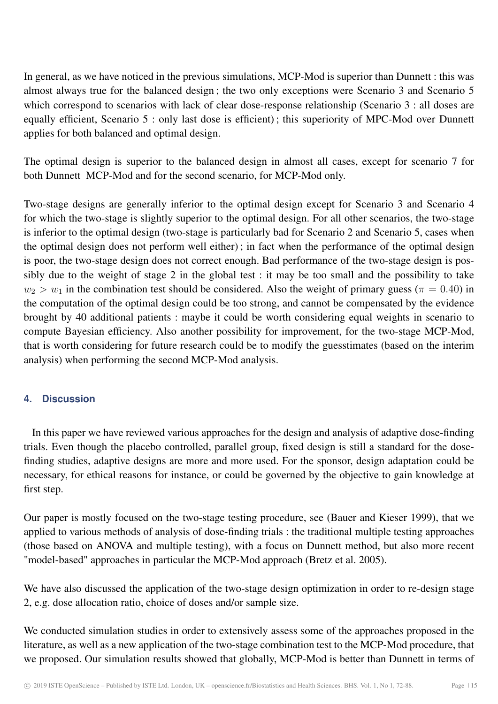In general, as we have noticed in the previous simulations, MCP-Mod is superior than Dunnett : this was almost always true for the balanced design ; the two only exceptions were Scenario 3 and Scenario 5 which correspond to scenarios with lack of clear dose-response relationship (Scenario 3 : all doses are equally efficient, Scenario 5 : only last dose is efficient) ; this superiority of MPC-Mod over Dunnett applies for both balanced and optimal design.

The optimal design is superior to the balanced design in almost all cases, except for scenario 7 for both Dunnett MCP-Mod and for the second scenario, for MCP-Mod only.

Two-stage designs are generally inferior to the optimal design except for Scenario 3 and Scenario 4 for which the two-stage is slightly superior to the optimal design. For all other scenarios, the two-stage is inferior to the optimal design (two-stage is particularly bad for Scenario 2 and Scenario 5, cases when the optimal design does not perform well either) ; in fact when the performance of the optimal design is poor, the two-stage design does not correct enough. Bad performance of the two-stage design is possibly due to the weight of stage 2 in the global test : it may be too small and the possibility to take  $w_2 > w_1$  in the combination test should be considered. Also the weight of primary guess ( $\pi = 0.40$ ) in the computation of the optimal design could be too strong, and cannot be compensated by the evidence brought by 40 additional patients : maybe it could be worth considering equal weights in scenario to compute Bayesian efficiency. Also another possibility for improvement, for the two-stage MCP-Mod, that is worth considering for future research could be to modify the guesstimates (based on the interim analysis) when performing the second MCP-Mod analysis.

# **4. Discussion**

In this paper we have reviewed various approaches for the design and analysis of adaptive dose-finding trials. Even though the placebo controlled, parallel group, fixed design is still a standard for the dosefinding studies, adaptive designs are more and more used. For the sponsor, design adaptation could be necessary, for ethical reasons for instance, or could be governed by the objective to gain knowledge at first step.

Our paper is mostly focused on the two-stage testing procedure, see (Bauer and Kieser 1999), that we applied to various methods of analysis of dose-finding trials : the traditional multiple testing approaches (those based on ANOVA and multiple testing), with a focus on Dunnett method, but also more recent "model-based" approaches in particular the MCP-Mod approach (Bretz et al. 2005).

We have also discussed the application of the two-stage design optimization in order to re-design stage 2, e.g. dose allocation ratio, choice of doses and/or sample size.

We conducted simulation studies in order to extensively assess some of the approaches proposed in the literature, as well as a new application of the two-stage combination test to the MCP-Mod procedure, that we proposed. Our simulation results showed that globally, MCP-Mod is better than Dunnett in terms of